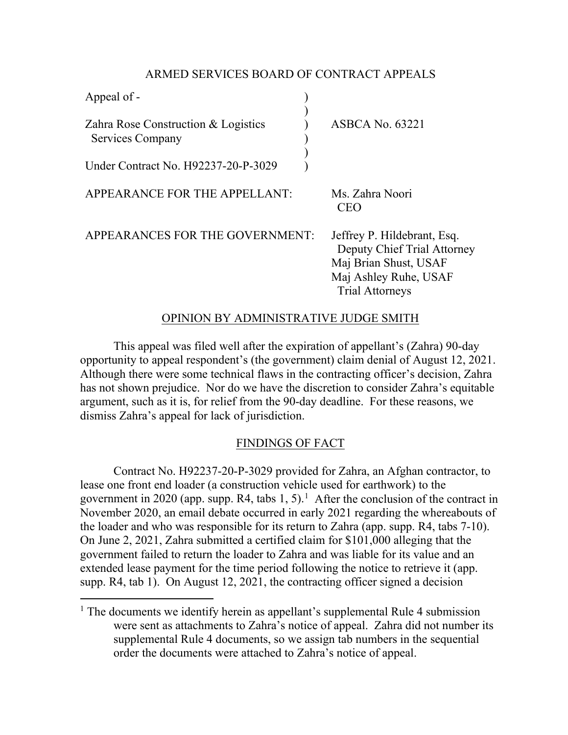## ARMED SERVICES BOARD OF CONTRACT APPEALS

| Appeal of -                                             |                                                                                                                                        |
|---------------------------------------------------------|----------------------------------------------------------------------------------------------------------------------------------------|
| Zahra Rose Construction & Logistics<br>Services Company | <b>ASBCA No. 63221</b>                                                                                                                 |
| Under Contract No. H92237-20-P-3029                     |                                                                                                                                        |
| APPEARANCE FOR THE APPELLANT:                           | Ms. Zahra Noori<br>CEO                                                                                                                 |
| APPEARANCES FOR THE GOVERNMENT:                         | Jeffrey P. Hildebrant, Esq.<br>Deputy Chief Trial Attorney<br>Maj Brian Shust, USAF<br>Maj Ashley Ruhe, USAF<br><b>Trial Attorneys</b> |

### OPINION BY ADMINISTRATIVE JUDGE SMITH

This appeal was filed well after the expiration of appellant's (Zahra) 90-day opportunity to appeal respondent's (the government) claim denial of August 12, 2021. Although there were some technical flaws in the contracting officer's decision, Zahra has not shown prejudice. Nor do we have the discretion to consider Zahra's equitable argument, such as it is, for relief from the 90-day deadline. For these reasons, we dismiss Zahra's appeal for lack of jurisdiction.

# FINDINGS OF FACT

Contract No. H92237-20-P-3029 provided for Zahra, an Afghan contractor, to lease one front end loader (a construction vehicle used for earthwork) to the government in 2020 (app. supp. R4, tabs  $1, 5$  $1, 5$ ).<sup>1</sup> After the conclusion of the contract in November 2020, an email debate occurred in early 2021 regarding the whereabouts of the loader and who was responsible for its return to Zahra (app. supp. R4, tabs 7-10). On June 2, 2021, Zahra submitted a certified claim for \$101,000 alleging that the government failed to return the loader to Zahra and was liable for its value and an extended lease payment for the time period following the notice to retrieve it (app. supp. R4, tab 1). On August 12, 2021, the contracting officer signed a decision

<span id="page-0-0"></span><sup>&</sup>lt;sup>1</sup> The documents we identify herein as appellant's supplemental Rule 4 submission were sent as attachments to Zahra's notice of appeal. Zahra did not number its supplemental Rule 4 documents, so we assign tab numbers in the sequential order the documents were attached to Zahra's notice of appeal.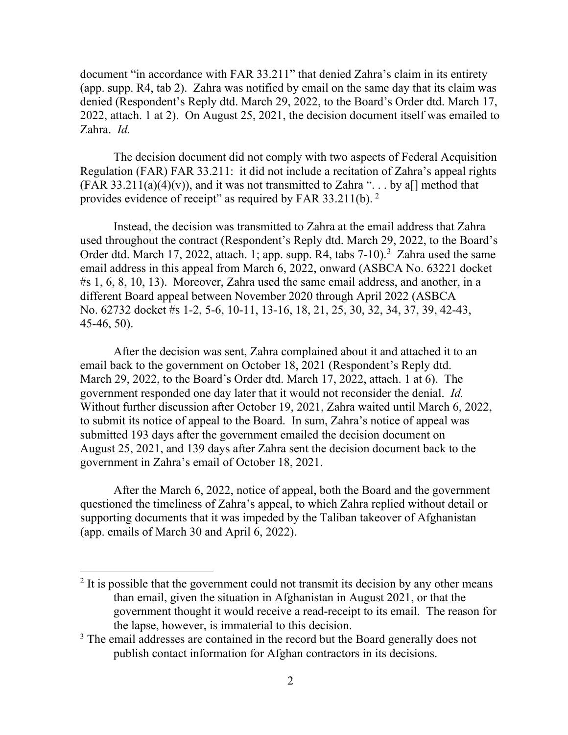document "in accordance with FAR 33.211" that denied Zahra's claim in its entirety (app. supp. R4, tab 2). Zahra was notified by email on the same day that its claim was denied (Respondent's Reply dtd. March 29, 2022, to the Board's Order dtd. March 17, 2022, attach. 1 at 2). On August 25, 2021, the decision document itself was emailed to Zahra. *Id.*

The decision document did not comply with two aspects of Federal Acquisition Regulation (FAR) FAR 33.211: it did not include a recitation of Zahra's appeal rights (FAR 33.211(a)(4)(v)), and it was not transmitted to Zahra "... by a[] method that provides evidence of receipt" as required by FAR 33.211(b). [2](#page-1-0)

Instead, the decision was transmitted to Zahra at the email address that Zahra used throughout the contract (Respondent's Reply dtd. March 29, 2022, to the Board's Order dtd. March 17, 2022, attach. 1; app. supp. R4, tabs 7-10).<sup>[3](#page-1-1)</sup> Zahra used the same email address in this appeal from March 6, 2022, onward (ASBCA No. 63221 docket #s 1, 6, 8, 10, 13). Moreover, Zahra used the same email address, and another, in a different Board appeal between November 2020 through April 2022 (ASBCA No. 62732 docket #s 1-2, 5-6, 10-11, 13-16, 18, 21, 25, 30, 32, 34, 37, 39, 42-43, 45-46, 50).

After the decision was sent, Zahra complained about it and attached it to an email back to the government on October 18, 2021 (Respondent's Reply dtd. March 29, 2022, to the Board's Order dtd. March 17, 2022, attach. 1 at 6). The government responded one day later that it would not reconsider the denial. *Id.* Without further discussion after October 19, 2021, Zahra waited until March 6, 2022, to submit its notice of appeal to the Board. In sum, Zahra's notice of appeal was submitted 193 days after the government emailed the decision document on August 25, 2021, and 139 days after Zahra sent the decision document back to the government in Zahra's email of October 18, 2021.

After the March 6, 2022, notice of appeal, both the Board and the government questioned the timeliness of Zahra's appeal, to which Zahra replied without detail or supporting documents that it was impeded by the Taliban takeover of Afghanistan (app. emails of March 30 and April 6, 2022).

<span id="page-1-0"></span> $2$  It is possible that the government could not transmit its decision by any other means than email, given the situation in Afghanistan in August 2021, or that the government thought it would receive a read-receipt to its email. The reason for the lapse, however, is immaterial to this decision.

<span id="page-1-1"></span><sup>&</sup>lt;sup>3</sup> The email addresses are contained in the record but the Board generally does not publish contact information for Afghan contractors in its decisions.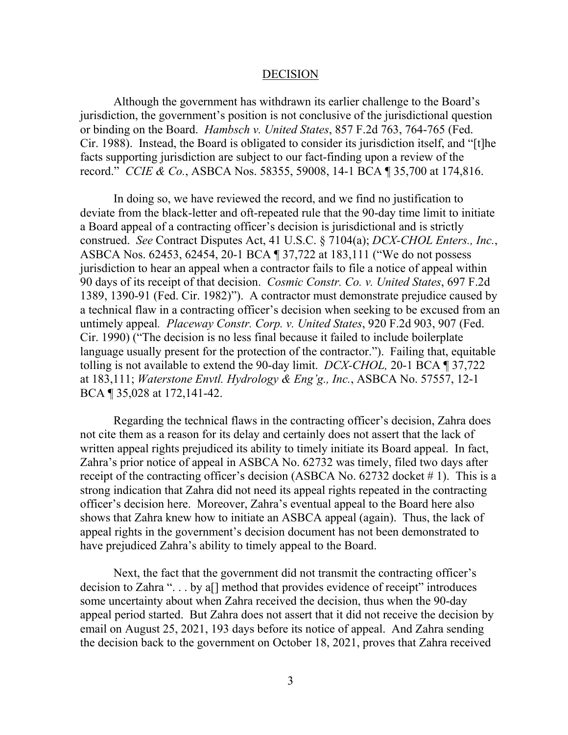#### DECISION

Although the government has withdrawn its earlier challenge to the Board's jurisdiction, the government's position is not conclusive of the jurisdictional question or binding on the Board. *Hambsch v. United States*, 857 F.2d 763, 764-765 (Fed. Cir. 1988). Instead, the Board is obligated to consider its jurisdiction itself, and "[t]he facts supporting jurisdiction are subject to our fact-finding upon a review of the record." *CCIE & Co.*, ASBCA Nos. 58355, 59008, 14-1 BCA ¶ 35,700 at 174,816.

In doing so, we have reviewed the record, and we find no justification to deviate from the black-letter and oft-repeated rule that the 90-day time limit to initiate a Board appeal of a contracting officer's decision is jurisdictional and is strictly construed. *See* Contract Disputes Act, 41 U.S.C. § 7104(a); *DCX-CHOL Enters., Inc.*, ASBCA Nos. 62453, 62454, 20-1 BCA ¶ 37,722 at 183,111 ("We do not possess jurisdiction to hear an appeal when a contractor fails to file a notice of appeal within 90 days of its receipt of that decision. *Cosmic Constr. Co. v. United States*, 697 F.2d 1389, 1390-91 (Fed. Cir. 1982)"). A contractor must demonstrate prejudice caused by a technical flaw in a contracting officer's decision when seeking to be excused from an untimely appeal*. Placeway Constr. Corp. v. United States*, 920 F.2d 903, 907 (Fed. Cir. 1990) ("The decision is no less final because it failed to include boilerplate language usually present for the protection of the contractor."). Failing that, equitable tolling is not available to extend the 90-day limit. *DCX-CHOL,* 20-1 BCA ¶ 37,722 at 183,111; *Waterstone Envtl. Hydrology & Eng'g., Inc.*, ASBCA No. 57557, 12-1 BCA ¶ 35,028 at 172,141-42.

Regarding the technical flaws in the contracting officer's decision, Zahra does not cite them as a reason for its delay and certainly does not assert that the lack of written appeal rights prejudiced its ability to timely initiate its Board appeal. In fact, Zahra's prior notice of appeal in ASBCA No. 62732 was timely, filed two days after receipt of the contracting officer's decision (ASBCA No. 62732 docket #1). This is a strong indication that Zahra did not need its appeal rights repeated in the contracting officer's decision here. Moreover, Zahra's eventual appeal to the Board here also shows that Zahra knew how to initiate an ASBCA appeal (again). Thus, the lack of appeal rights in the government's decision document has not been demonstrated to have prejudiced Zahra's ability to timely appeal to the Board.

Next, the fact that the government did not transmit the contracting officer's decision to Zahra ". . . by a[] method that provides evidence of receipt" introduces some uncertainty about when Zahra received the decision, thus when the 90-day appeal period started. But Zahra does not assert that it did not receive the decision by email on August 25, 2021, 193 days before its notice of appeal. And Zahra sending the decision back to the government on October 18, 2021, proves that Zahra received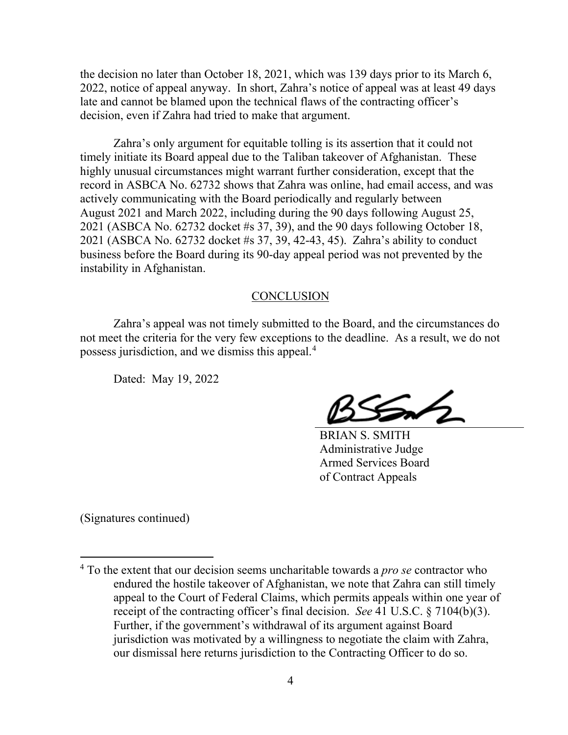the decision no later than October 18, 2021, which was 139 days prior to its March 6, 2022, notice of appeal anyway. In short, Zahra's notice of appeal was at least 49 days late and cannot be blamed upon the technical flaws of the contracting officer's decision, even if Zahra had tried to make that argument.

Zahra's only argument for equitable tolling is its assertion that it could not timely initiate its Board appeal due to the Taliban takeover of Afghanistan. These highly unusual circumstances might warrant further consideration, except that the record in ASBCA No. 62732 shows that Zahra was online, had email access, and was actively communicating with the Board periodically and regularly between August 2021 and March 2022, including during the 90 days following August 25, 2021 (ASBCA No. 62732 docket #s 37, 39), and the 90 days following October 18, 2021 (ASBCA No. 62732 docket #s 37, 39, 42-43, 45). Zahra's ability to conduct business before the Board during its 90-day appeal period was not prevented by the instability in Afghanistan.

#### **CONCLUSION**

Zahra's appeal was not timely submitted to the Board, and the circumstances do not meet the criteria for the very few exceptions to the deadline. As a result, we do not possess jurisdiction, and we dismiss this appeal.[4](#page-3-0)

Dated: May 19, 2022

BRIAN S. SMITH Administrative Judge Armed Services Board of Contract Appeals

(Signatures continued)

<span id="page-3-0"></span> <sup>4</sup> To the extent that our decision seems uncharitable towards a *pro se* contractor who endured the hostile takeover of Afghanistan, we note that Zahra can still timely appeal to the Court of Federal Claims, which permits appeals within one year of receipt of the contracting officer's final decision. *See* 41 U.S.C. § 7104(b)(3). Further, if the government's withdrawal of its argument against Board jurisdiction was motivated by a willingness to negotiate the claim with Zahra, our dismissal here returns jurisdiction to the Contracting Officer to do so.